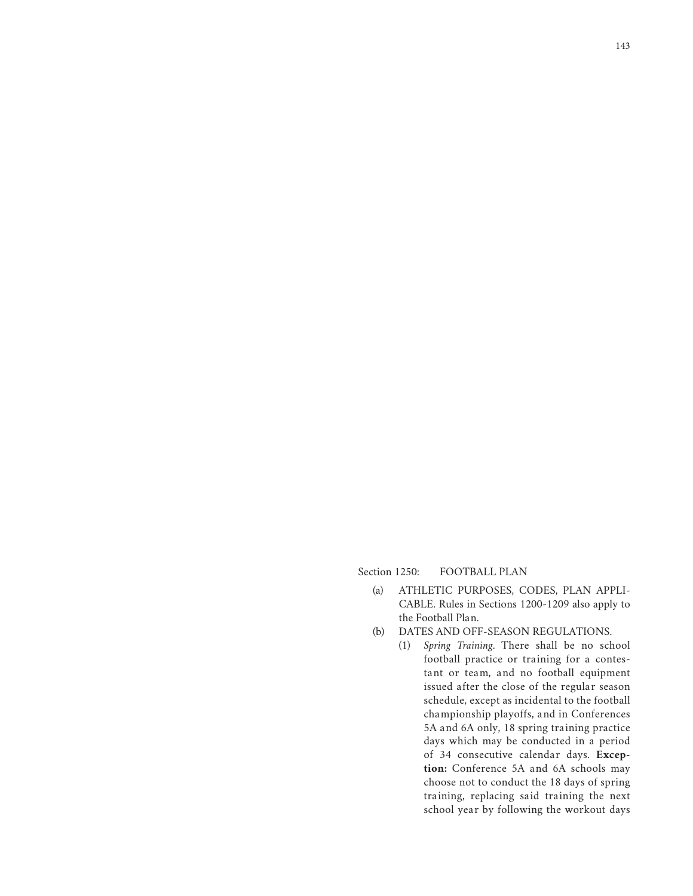Section 1250: FOOTBALL PLAN

- (a) ATHLETIC PURPOSES, CODES, PLAN APPLI-CABLE. Rules in Sections 1200-1209 also apply to the Football Plan.
- (b) DATES AND OFF-SEASON REGULATIONS.
	- (1) *Spring Training*. There shall be no school football practice or training for a contestant or team, and no football equipment issued after the close of the regular season schedule, except as incidental to the football championship playoffs, and in Conferences 5A and 6A only, 18 spring training practice days which may be conducted in a period of 34 consecutive calendar days. **Exception:** Conference 5A and 6A schools may choose not to conduct the 18 days of spring training, replacing said training the next school year by following the workout days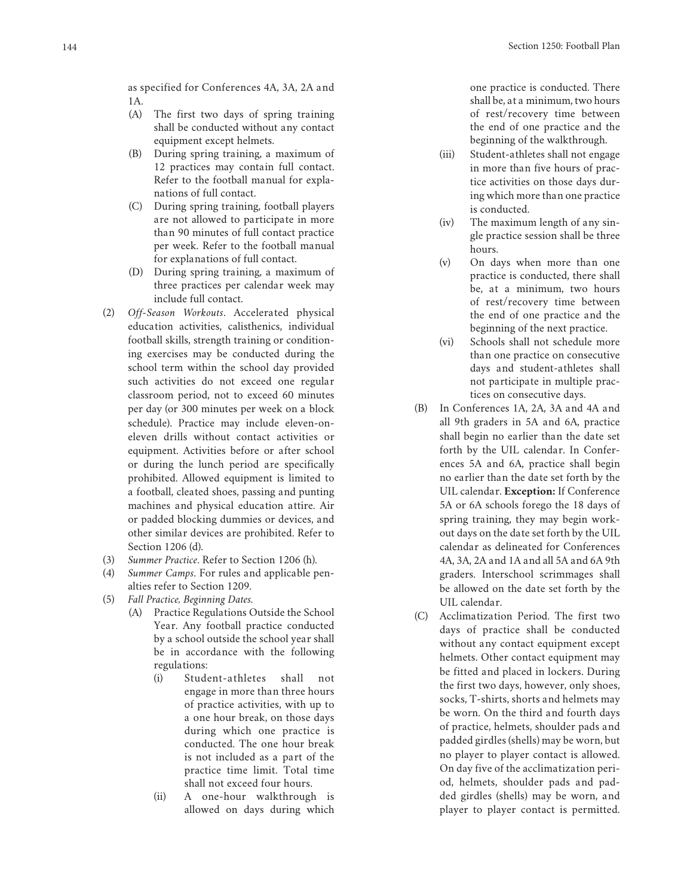as specified for Conferences 4A, 3A, 2A and 1A.

- (A) The first two days of spring training shall be conducted without any contact equipment except helmets.
- (B) During spring training, a maximum of 12 practices may contain full contact. Refer to the football manual for expla nations of full contact.
- (C) During spring training, football players are not allowed to participate in more than 90 minutes of full contact practice per week. Refer to the football manual for explanations of full contact.
- (D) During spring training, a maximum of three practices per calendar week may include full contact.
- (2) *Off-Season Workouts*. Accelerated physical education activities, calisthenics, individual football skills, strength training or condition ing exercises may be conducted during the school term within the school day provided such activities do not exceed one regular classroom period, not to exceed 60 minutes per day (or 300 minutes per week on a block schedule). Practice may include eleven-oneleven drills without contact activities or equipment. Activities before or after school or during the lunch period are specifically prohibited. Allowed equipment is limited to a football, cleated shoes, passing and punting machines and physical education attire. Air or padded blocking dummies or devices, and other similar devices are prohibited. Refer to Section 1206 (d).
- (3) *Summer Practice*. Refer to Section 1206 (h).
- (4) *Summer Camps*. For rules and applicable pen alties refer to Section 1209.
- (5) *Fall Practice, Beginning Dates.*
	- (A) Practice Regulations Outside the School Year. Any football practice conducted by a school outside the school year shall be in accordance with the following regulations:
		- (i) Student-a thletes shall not engage in more than three hours of practice activities, with up to a one hour break, on those days during which one practice is conducted. The one hour break is not included as a part of the practice time limit. Total time shall not exceed four hours.
		- $(ii)$ A one-hour walkthrough is allowed on days during which

one practice is conducted. There shall be, at a minimum, two hours of rest/recovery time between the end of one practice and the beginning of the walkthrough.

- (iii) Student-athletes shall not engage in more than five hours of prac tice activities on those days dur ing which more than one practice is conducted.
- (iv) The maximum length of any sin gle practice session shall be three hours.
- (v) On days when more than one practice is conducted, there shall be, at a minimum, two hours of rest/recovery time between the end of one practice and the beginning of the next practice.
- (vi) Schools shall not schedule more than one practice on consecutive days and student-athletes shall not participate in multiple prac tices on consecutive days.
- (B) In Conferences 1A, 2A, 3A and 4A and all 9th graders in 5A and 6A, practice shall begin no earlier than the date set forth by the UIL calendar. In Confer ences 5A and 6A, practice shall begin no earlier than the date set forth by the UIL calendar. **Exception:** If Conference 5A or 6A schools forego the 18 days of spring training, they may begin work out days on the date set forth by the UIL calendar as delineated for Conferences 4A, 3A, 2A and 1A and all 5A and 6A 9th graders. Interschool scrimmages shall be allowed on the date set forth by the UIL calendar.
- (C) Acclimatization Period. The first two days of practice shall be conducted without any contact equipment except helmets. Other contact equipment may be fitted and placed in lockers. During the first two days, however, only shoes, socks, T-shirts, shorts and helmets may be worn. On the third and fourth days of practice, helmets, shoulder pads and padded girdles (shells) may be worn, but no player to player contact is allowed. On day five of the acclimatization peri od, helmets, shoulder pads and pad ded girdles (shells) may be worn, and player to player contact is permitted.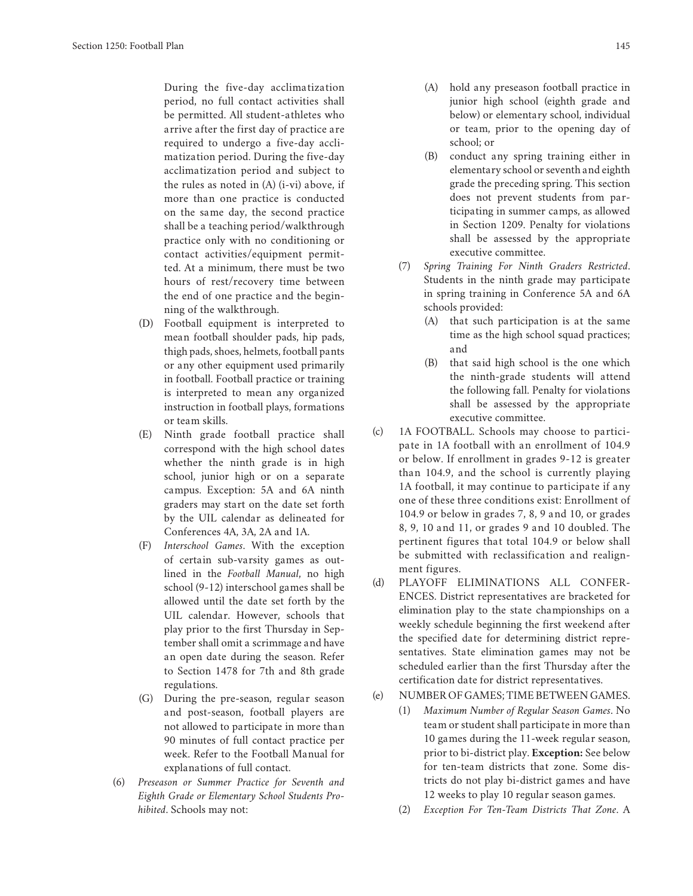During the five-day acclimatization period, no full contact activities shall be permitted. All student-athletes who arrive after the first day of practice are required to undergo a five-day acclimatization period. During the five-day acclimatization period and subject to the rules as noted in (A) (i-vi) above, if more than one practice is conducted on the same day, the second practice shall be a teaching period/walkthrough practice only with no conditioning or contact activities/equipment permitted. At a minimum, there must be two hours of rest/recovery time between the end of one practice and the beginning of the walkthrough.

- (D) Football equipment is interpreted to mean football shoulder pads, hip pads, thigh pads, shoes, helmets, football pants or any other equipment used primarily in football. Football practice or training is interpreted to mean any organized instruction in football plays, formations or team skills.
- (E) Ninth grade football practice shall correspond with the high school dates whether the ninth grade is in high school, junior high or on a separate campus. Exception: 5A and 6A ninth graders may start on the date set forth by the UIL calendar as delineated for Conferences 4A, 3A, 2A and 1A.
- (F) *Interschool Games*. With the exception of certain sub-varsity games as outlined in the *Football Manual*, no high school (9-12) interschool games shall be allowed until the date set forth by the UIL calendar. However, schools that play prior to the first Thursday in September shall omit a scrimmage and have an open date during the season. Refer to Section 1478 for 7th and 8th grade regulations.
- (G) During the pre-season, regular season and post-season, football players are not allowed to participate in more than 90 minutes of full contact practice per week. Refer to the Football Manual for explanations of full contact.
- (6) *Preseason or Summer Practice for Seventh and Eighth Grade or Elementary School Students Prohibited*. Schools may not:
- (A) hold any preseason football practice in junior high school (eighth grade and below) or elementary school, individual or team, prior to the opening day of school; or
- (B) conduct any spring training either in elementary school or seventh and eighth grade the preceding spring. This section does not prevent students from participating in summer camps, as allowed in Section 1209. Penalty for violations shall be assessed by the appropriate executive committee.
- (7) *Spring Training For Ninth Graders Restricted*. Students in the ninth grade may participate in spring training in Conference 5A and 6A schools provided:
	- (A) that such participation is at the same time as the high school squad practices; and
	- (B) that said high school is the one which the ninth-grade students will attend the following fall. Penalty for violations shall be assessed by the appropriate executive committee.
- (c) 1A FOOTBALL. Schools may choose to participate in 1A football with an enrollment of 104.9 or below. If enrollment in grades 9-12 is greater than 104.9, and the school is currently playing 1A football, it may continue to participate if any one of these three conditions exist: Enrollment of 104.9 or below in grades 7, 8, 9 and 10, or grades 8, 9, 10 and 11, or grades 9 and 10 doubled. The pertinent figures that total 104.9 or below shall be submitted with reclassification and realignment figures.
- (d) PLAYOFF ELIMINATIONS ALL CONFER-ENCES. District representatives are bracketed for elimination play to the state championships on a weekly schedule beginning the first weekend after the specified date for determining district representatives. State elimination games may not be scheduled earlier than the first Thursday after the certification date for district representatives.

## (e) NUMBER OF GAMES; TIME BETWEEN GAMES.

- (1) *Maximum Number of Regular Season Games*. No team or student shall participate in more than 10 games during the 11-week regular season, prior to bi-district play. **Exception:** See below for ten-team districts that zone. Some districts do not play bi-district games and have 12 weeks to play 10 regular season games.
- (2) *Exception For Ten-Team Districts That Zone*. A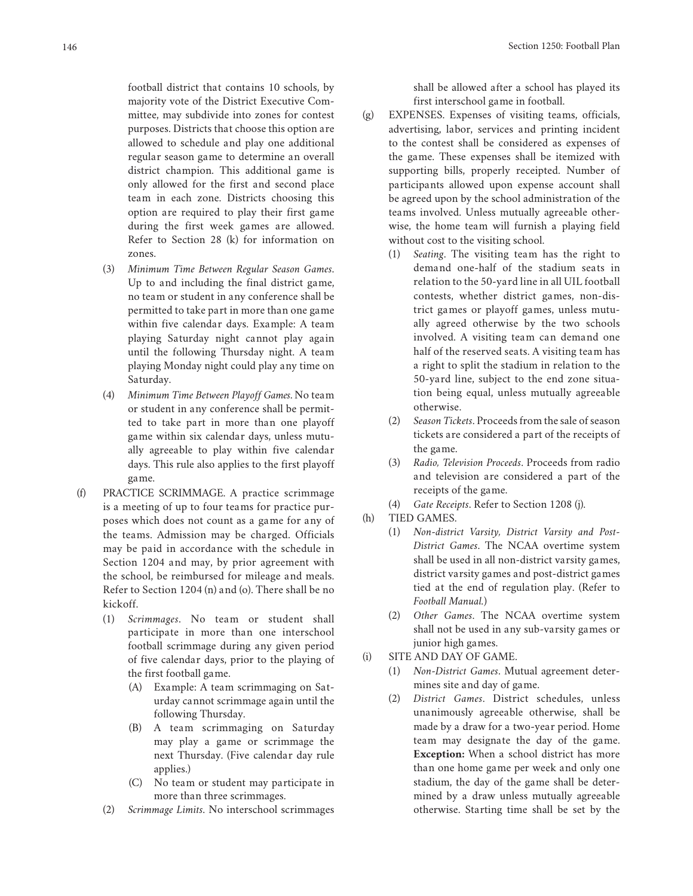football district that contains 10 schools, by majority vote of the District Executive Committee, may subdivide into zones for contest purposes. Districts that choose this option are allowed to schedule and play one additional regular season game to determine an overall district champion. This additional game is only allowed for the first and second place team in each zone. Districts choosing this option are required to play their first game during the first week games are allowed. Refer to Section 28 (k) for information on zones.

- (3) *Minimum Time Between Regular Season Games*. Up to and including the final district game, no team or student in any conference shall be permitted to take part in more than one game within five calendar days. Example: A team playing Saturday night cannot play again until the following Thursday night. A team playing Monday night could play any time on Saturday.
- (4) *Minimum Time Between Playoff Games*. No team or student in any conference shall be permitted to take part in more than one playoff game within six calendar days, unless mutually agreeable to play within five calendar days. This rule also applies to the first playoff game.
- (f) PRACTICE SCRIMMAGE. A practice scrimmage is a meeting of up to four teams for practice purposes which does not count as a game for any of the teams. Admission may be charged. Officials may be paid in accordance with the schedule in Section 1204 and may, by prior agreement with the school, be reimbursed for mileage and meals. Refer to Section 1204 (n) and (o). There shall be no kickoff.
	- (1) *Scrimmages*. No team or student shall participate in more than one interschool football scrimmage during any given period of five calendar days, prior to the playing of the first football game.
		- (A) Example: A team scrimmaging on Saturday cannot scrimmage again until the following Thursday.
		- (B) A team scrimmaging on Saturday may play a game or scrimmage the next Thursday. (Five calendar day rule applies.)
		- (C) No team or student may participate in more than three scrimmages.
	- (2) *Scrimmage Limits*. No interschool scrimmages

shall be allowed after a school has played its first interschool game in football.

- (g) EXPENSES. Expenses of visiting teams, officials, advertising, labor, services and printing incident to the contest shall be considered as expenses of the game. These expenses shall be itemized with supporting bills, properly receipted. Number of participants allowed upon expense account shall be agreed upon by the school administration of the teams involved. Unless mutually agreeable otherwise, the home team will furnish a playing field without cost to the visiting school.
	- (1) *Seating*. The visiting team has the right to demand one-half of the stadium seats in relation to the 50-yard line in all UIL football contests, whether district games, non-district games or playoff games, unless mutually agreed otherwise by the two schools involved. A visiting team can demand one half of the reserved seats. A visiting team has a right to split the stadium in relation to the 50-yard line, subject to the end zone situation being equal, unless mutually agreeable otherwise.
	- (2) *Season Tickets*. Proceeds from the sale of season tickets are considered a part of the receipts of the game.
	- (3) *Radio, Television Proceeds*. Proceeds from radio and television are considered a part of the receipts of the game.
	- (4) *Gate Receipts*. Refer to Section 1208 (j).
- (h) TIED GAMES.
	- (1) *Non-district Varsity, District Varsity and Post-District Games*. The NCAA overtime system shall be used in all non-district varsity games, district varsity games and post-district games tied at the end of regulation play. (Refer to *Football Manual.*)
	- (2) *Other Games*. The NCAA overtime system shall not be used in any sub-varsity games or junior high games.
- (i) SITE AND DAY OF GAME.
	- (1) *Non-District Games*. Mutual agreement determines site and day of game.
	- (2) *District Games*. District schedules, unless unanimously agreeable otherwise, shall be made by a draw for a two-year period. Home team may designate the day of the game. **Exception:** When a school district has more than one home game per week and only one stadium, the day of the game shall be determined by a draw unless mutually agreeable otherwise. Starting time shall be set by the